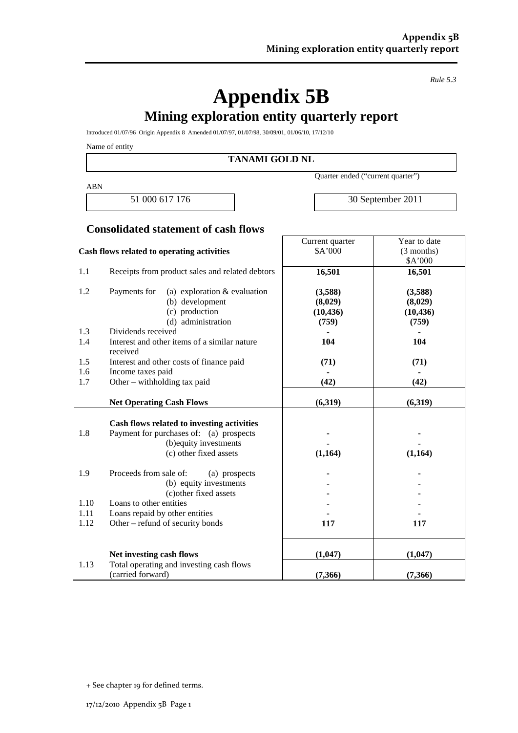*Rule 5.3*

# **Appendix 5B Mining exploration entity quarterly report**

Introduced 01/07/96 Origin Appendix 8 Amended 01/07/97, 01/07/98, 30/09/01, 01/06/10, 17/12/10

Name of entity

**TANAMI GOLD NL**

ABN

Quarter ended ("current quarter")

Current quarter

51 000 617 176 30 September 2011

Year to date

# **Consolidated statement of cash flows**

| Cash flows related to operating activities |                                                                                       | \$A'000   | (3 months) |
|--------------------------------------------|---------------------------------------------------------------------------------------|-----------|------------|
|                                            |                                                                                       |           | \$A'000    |
| 1.1                                        | Receipts from product sales and related debtors                                       | 16,501    | 16,501     |
| 1.2                                        | (a) exploration $&$ evaluation<br>Payments for                                        | (3,588)   | (3,588)    |
|                                            | (b) development                                                                       | (8,029)   | (8,029)    |
|                                            | (c) production                                                                        | (10, 436) | (10, 436)  |
|                                            | (d) administration                                                                    | (759)     | (759)      |
| 1.3                                        | Dividends received                                                                    |           |            |
| 1.4                                        | Interest and other items of a similar nature                                          | 104       | 104        |
|                                            | received                                                                              |           |            |
| 1.5                                        | Interest and other costs of finance paid                                              | (71)      | (71)       |
| 1.6                                        | Income taxes paid                                                                     |           |            |
| 1.7                                        | Other – withholding tax paid                                                          | (42)      | (42)       |
|                                            |                                                                                       |           |            |
|                                            | <b>Net Operating Cash Flows</b>                                                       | (6,319)   | (6,319)    |
|                                            |                                                                                       |           |            |
| 1.8                                        | Cash flows related to investing activities<br>Payment for purchases of: (a) prospects |           |            |
|                                            | (b) equity investments                                                                |           |            |
|                                            | (c) other fixed assets                                                                | (1,164)   | (1,164)    |
|                                            |                                                                                       |           |            |
| 1.9                                        | Proceeds from sale of:<br>(a) prospects                                               |           |            |
|                                            | (b) equity investments                                                                |           |            |
|                                            | (c) other fixed assets                                                                |           |            |
| 1.10                                       | Loans to other entities                                                               |           |            |
| 1.11                                       | Loans repaid by other entities                                                        |           |            |
| 1.12                                       | Other – refund of security bonds                                                      | 117       | 117        |
|                                            |                                                                                       |           |            |
|                                            | Net investing cash flows                                                              | (1,047)   | (1,047)    |
| 1.13                                       | Total operating and investing cash flows                                              |           |            |
|                                            | (carried forward)                                                                     | (7,366)   | (7,366)    |

<sup>+</sup> See chapter 19 for defined terms.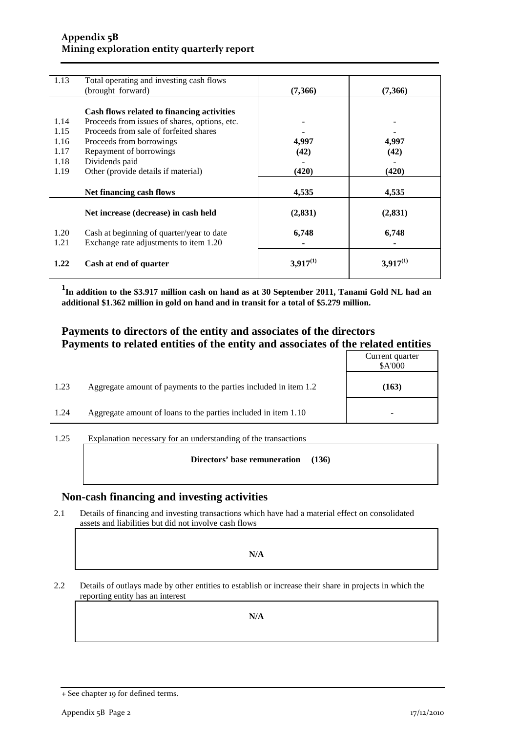#### **Appendix 5B Mining exploration entity quarterly report**

| 1.13 | Total operating and investing cash flows      |               |               |
|------|-----------------------------------------------|---------------|---------------|
|      | (brought forward)                             | (7,366)       | (7,366)       |
|      |                                               |               |               |
|      | Cash flows related to financing activities    |               |               |
| 1.14 | Proceeds from issues of shares, options, etc. |               |               |
| 1.15 | Proceeds from sale of forfeited shares        |               |               |
| 1.16 | Proceeds from borrowings                      | 4,997         | 4,997         |
| 1.17 | Repayment of borrowings                       | (42)          | (42)          |
| 1.18 | Dividends paid                                |               |               |
| 1.19 | Other (provide details if material)           | (420)         | (420)         |
|      |                                               |               |               |
|      | Net financing cash flows                      | 4,535         | 4,535         |
|      |                                               |               |               |
|      | Net increase (decrease) in cash held          | (2, 831)      | (2, 831)      |
|      |                                               |               |               |
| 1.20 | Cash at beginning of quarter/year to date     | 6,748         | 6,748         |
| 1.21 | Exchange rate adjustments to item 1.20        |               |               |
|      |                                               |               |               |
| 1.22 | Cash at end of quarter                        | $3,917^{(1)}$ | $3,917^{(1)}$ |
|      |                                               |               |               |

<sup>1</sup>In addition to the \$3.917 million cash on hand as at 30 September 2011, Tanami Gold NL had an **additional \$1.362 million in gold on hand and in transit for a total of \$5.279 million.**

### **Payments to directors of the entity and associates of the directors Payments to related entities of the entity and associates of the related entities**

|      |                                                                  | Current quarter<br>\$A'000 |
|------|------------------------------------------------------------------|----------------------------|
| 1.23 | Aggregate amount of payments to the parties included in item 1.2 | (163)                      |
| 1.24 | Aggregate amount of loans to the parties included in item 1.10   | -                          |

1.25 Explanation necessary for an understanding of the transactions

**Directors' base remuneration (136)**

### **Non-cash financing and investing activities**

2.1 Details of financing and investing transactions which have had a material effect on consolidated assets and liabilities but did not involve cash flows

**N/A**

2.2 Details of outlays made by other entities to establish or increase their share in projects in which the reporting entity has an interest

**N/A**

<sup>+</sup> See chapter 19 for defined terms.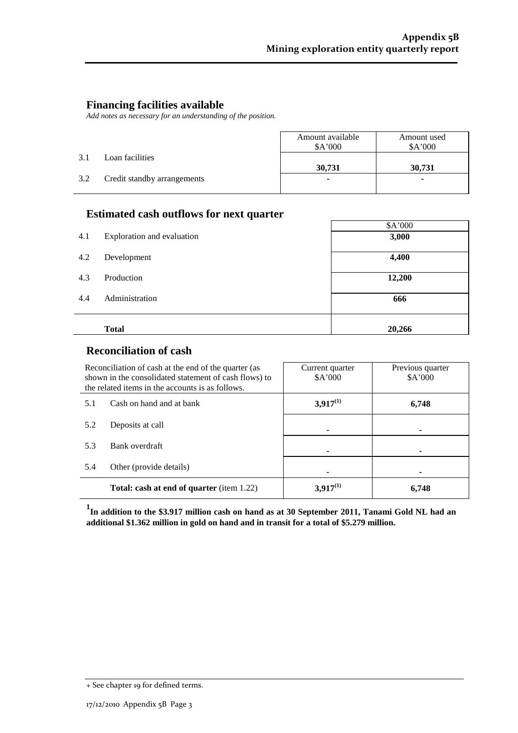# **Financing facilities available**

*Add notes as necessary for an understanding of the position.*

|     |                             | Amount available<br>A'000 | Amount used<br>A'000 |
|-----|-----------------------------|---------------------------|----------------------|
| 3.1 | Loan facilities             | 30,731                    | 30,731               |
| 3.2 | Credit standby arrangements | ۰                         | ۰                    |

#### **Estimated cash outflows for next quarter**

|     | л.                         | \$A'000 |
|-----|----------------------------|---------|
| 4.1 | Exploration and evaluation | 3,000   |
| 4.2 | Development                | 4,400   |
| 4.3 | Production                 | 12,200  |
| 4.4 | Administration             | 666     |
|     | <b>Total</b>               | 20,266  |

## **Reconciliation of cash**

| Reconciliation of cash at the end of the quarter (as<br>shown in the consolidated statement of cash flows) to<br>the related items in the accounts is as follows. |  | Current quarter<br>A'000 | Previous quarter<br>\$A'000 |
|-------------------------------------------------------------------------------------------------------------------------------------------------------------------|--|--------------------------|-----------------------------|
| Cash on hand and at bank<br>5.1                                                                                                                                   |  | $3,917^{(1)}$            | 6,748                       |
| 5.2<br>Deposits at call                                                                                                                                           |  |                          |                             |
| 5.3<br>Bank overdraft                                                                                                                                             |  |                          |                             |
| 5.4<br>Other (provide details)                                                                                                                                    |  |                          |                             |
| <b>Total: cash at end of quarter</b> (item 1.22)                                                                                                                  |  | $3,917^{(1)}$            | 6.748                       |

**1 In addition to the \$3.917 million cash on hand as at 30 September 2011, Tanami Gold NL had an additional \$1.362 million in gold on hand and in transit for a total of \$5.279 million.**

<sup>+</sup> See chapter 19 for defined terms.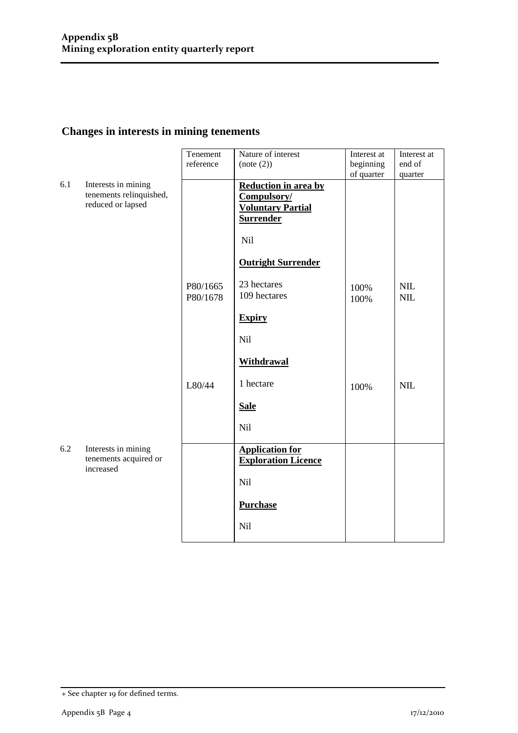# **Changes in interests in mining tenements**

|     |                                                                     | Tenement<br>reference | Nature of interest<br>(note (2))                                                           | Interest at<br>beginning | Interest at<br>end of    |
|-----|---------------------------------------------------------------------|-----------------------|--------------------------------------------------------------------------------------------|--------------------------|--------------------------|
|     |                                                                     |                       |                                                                                            | of quarter               | quarter                  |
| 6.1 | Interests in mining<br>tenements relinquished,<br>reduced or lapsed |                       | <b>Reduction in area by</b><br>Compulsory/<br><b>Voluntary Partial</b><br><b>Surrender</b> |                          |                          |
|     |                                                                     |                       | Nil                                                                                        |                          |                          |
|     |                                                                     |                       | <b>Outright Surrender</b>                                                                  |                          |                          |
|     |                                                                     | P80/1665<br>P80/1678  | 23 hectares<br>109 hectares                                                                | 100%<br>100%             | <b>NIL</b><br><b>NIL</b> |
|     |                                                                     |                       | <b>Expiry</b>                                                                              |                          |                          |
|     |                                                                     |                       | Nil                                                                                        |                          |                          |
|     |                                                                     |                       | <b>Withdrawal</b>                                                                          |                          |                          |
|     |                                                                     | L80/44                | 1 hectare                                                                                  | 100%                     | <b>NIL</b>               |
|     |                                                                     |                       | <b>Sale</b>                                                                                |                          |                          |
|     |                                                                     |                       | <b>Nil</b>                                                                                 |                          |                          |
| 6.2 | Interests in mining<br>tenements acquired or<br>increased           |                       | <b>Application for</b><br><b>Exploration Licence</b>                                       |                          |                          |
|     |                                                                     |                       | Nil                                                                                        |                          |                          |
|     |                                                                     |                       | <b>Purchase</b>                                                                            |                          |                          |
|     |                                                                     |                       | Nil                                                                                        |                          |                          |

<sup>+</sup> See chapter 19 for defined terms.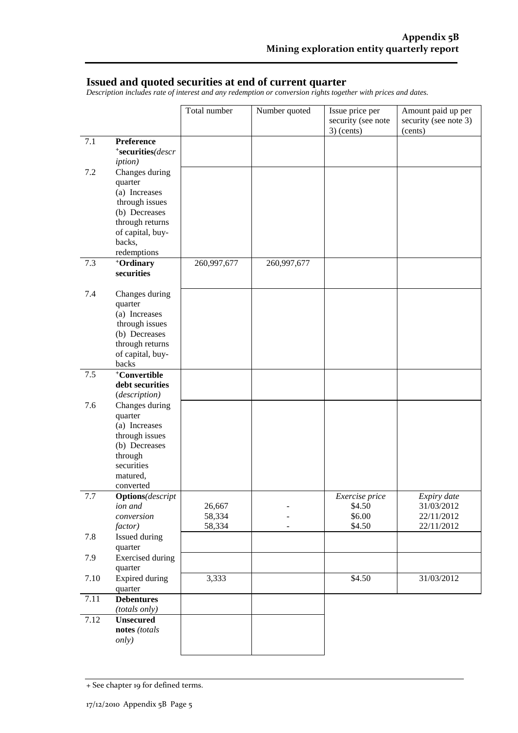### **Issued and quoted securities at end of current quarter**

*Description includes rate of interest and any redemption or conversion rights together with prices and dates.*

|      |                                                                                                                                               | Total number               | Number quoted | Issue price per<br>security (see note<br>$3)$ (cents) | Amount paid up per<br>security (see note 3)<br>(cents) |
|------|-----------------------------------------------------------------------------------------------------------------------------------------------|----------------------------|---------------|-------------------------------------------------------|--------------------------------------------------------|
| 7.1  | Preference<br>*securities(descr<br><i>iption</i> )                                                                                            |                            |               |                                                       |                                                        |
| 7.2  | Changes during<br>quarter<br>(a) Increases<br>through issues<br>(b) Decreases<br>through returns<br>of capital, buy-<br>backs,<br>redemptions |                            |               |                                                       |                                                        |
| 7.3  | +Ordinary<br>securities                                                                                                                       | 260,997,677                | 260,997,677   |                                                       |                                                        |
| 7.4  | Changes during<br>quarter<br>(a) Increases<br>through issues<br>(b) Decreases<br>through returns<br>of capital, buy-<br>backs                 |                            |               |                                                       |                                                        |
| 7.5  | +Convertible<br>debt securities<br>(description)                                                                                              |                            |               |                                                       |                                                        |
| 7.6  | Changes during<br>quarter<br>(a) Increases<br>through issues<br>(b) Decreases<br>through<br>securities<br>matured,<br>converted               |                            |               |                                                       |                                                        |
| 7.7  | <b>Options</b> (descript<br>ion and<br>conversion<br>factor)                                                                                  | 26,667<br>58,334<br>58,334 |               | Exercise price<br>\$4.50<br>\$6.00<br>\$4.50          | Expiry date<br>31/03/2012<br>22/11/2012<br>22/11/2012  |
| 7.8  | Issued during<br>quarter                                                                                                                      |                            |               |                                                       |                                                        |
| 7.9  | <b>Exercised</b> during<br>quarter                                                                                                            |                            |               |                                                       |                                                        |
| 7.10 | <b>Expired during</b><br>quarter                                                                                                              | 3,333                      |               | \$4.50                                                | 31/03/2012                                             |
| 7.11 | <b>Debentures</b><br>(totals only)                                                                                                            |                            |               |                                                       |                                                        |
| 7.12 | <b>Unsecured</b><br>notes (totals<br><i>only</i> )                                                                                            |                            |               |                                                       |                                                        |

<sup>+</sup> See chapter 19 for defined terms.